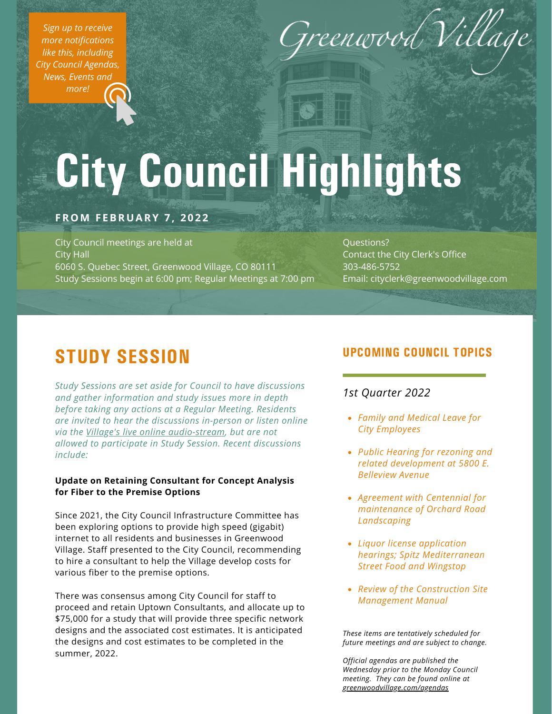*Sign up to receive more [notifications](https://www.greenwoodvillage.com/list.aspx) like this, including City Council Agendas, News, Events and more!*



# City Council Highlights

## **FROM F EBRUARY 7 , 2 0 2 2**

City Council meetings are held at City Hall 6060 S. Quebec Street, Greenwood Village, CO 80111 Study Sessions begin at 6:00 pm; Regular Meetings at 7:00 pm

Questions? Contact the City Clerk's Office 303-486-5752 Email: cityclerk@greenwoodvillage.com

# STUDY SESSION

*Study Sessions are set aside for Council to have discussions and gather information and study issues more in depth before taking any actions at a Regular Meeting. Residents are invited to hear the discussions in-person or listen online via the Village's live online [audio-stream](https://greenwoodvillage.com/2390/Agendas-Minutes-Webcasts), but are not allowed to participate in Study Session. Recent discussions include:*

#### **Update on Retaining Consultant for Concept Analysis for Fiber to the Premise Options**

Since 2021, the City Council Infrastructure Committee has been exploring options to provide high speed (gigabit) internet to all residents and businesses in Greenwood Village. Staff presented to the City Council, recommending to hire a consultant to help the Village develop costs for various fiber to the premise options.

There was consensus among City Council for staff to proceed and retain Uptown Consultants, and allocate up to \$75,000 for a study that will provide three specific network designs and the associated cost estimates. It is anticipated the designs and cost estimates to be completed in the summer, 2022.

## UPCOMING COUNCIL TOPICS

## *1st Quarter 2022*

- *Family and Medical Leave for City Employees*
- *Public Hearing for rezoning and related development at 5800 E. Belleview Avenue*
- *Agreement with Centennial for maintenance of Orchard Road Landscaping*
- *Liquor license application hearings; Spitz Mediterranean Street Food and Wingstop*
- *Review of the Construction Site Management Manual*

*These items are tentatively scheduled for future meetings and are subject to change.*

*Official agendas are published the Wednesday prior to the Monday Council meeting. They can be found online at [greenwoodvillage.com/agendas](http://greenwoodvillage.com/agendas)*